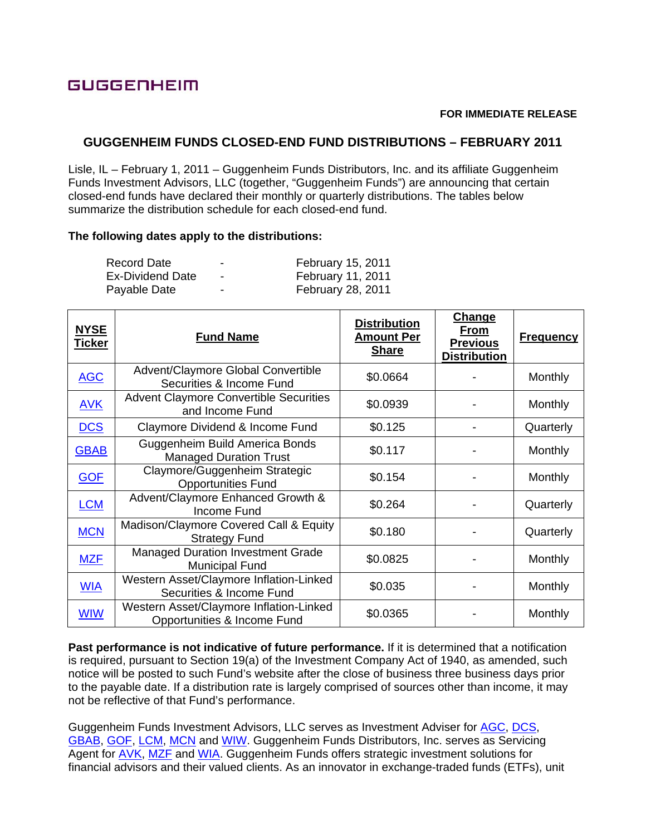# GUGGENHEIM

#### **FOR IMMEDIATE RELEASE**

## **GUGGENHEIM FUNDS CLOSED-END FUND DISTRIBUTIONS – FEBRUARY 2011**

Lisle, IL – February 1, 2011 – Guggenheim Funds Distributors, Inc. and its affiliate Guggenheim Funds Investment Advisors, LLC (together, "Guggenheim Funds") are announcing that certain closed-end funds have declared their monthly or quarterly distributions. The tables below summarize the distribution schedule for each closed-end fund.

#### **The following dates apply to the distributions:**

| Record Date             | -                        | February 15, 2011        |
|-------------------------|--------------------------|--------------------------|
| <b>Ex-Dividend Date</b> | $\overline{\phantom{0}}$ | <b>February 11, 2011</b> |
| Payable Date            | -                        | February 28, 2011        |

| <b>NYSE</b><br><u>Ticker</u> | <b>Fund Name</b>                                                       | <b>Distribution</b><br><b>Amount Per</b><br><b>Share</b> | Change<br>From<br><b>Previous</b><br><b>Distribution</b> | <b>Frequency</b> |
|------------------------------|------------------------------------------------------------------------|----------------------------------------------------------|----------------------------------------------------------|------------------|
| <b>AGC</b>                   | Advent/Claymore Global Convertible<br>Securities & Income Fund         | \$0.0664                                                 |                                                          | <b>Monthly</b>   |
| <b>AVK</b>                   | <b>Advent Claymore Convertible Securities</b><br>and Income Fund       | \$0.0939                                                 |                                                          | <b>Monthly</b>   |
| <b>DCS</b>                   | Claymore Dividend & Income Fund                                        | \$0.125                                                  |                                                          | Quarterly        |
| <b>GBAB</b>                  | Guggenheim Build America Bonds<br><b>Managed Duration Trust</b>        | \$0.117                                                  |                                                          | Monthly          |
| <b>GOF</b>                   | Claymore/Guggenheim Strategic<br><b>Opportunities Fund</b>             | \$0.154                                                  |                                                          | <b>Monthly</b>   |
| <b>LCM</b>                   | Advent/Claymore Enhanced Growth &<br>Income Fund                       | \$0.264                                                  |                                                          | Quarterly        |
| <b>MCN</b>                   | Madison/Claymore Covered Call & Equity<br><b>Strategy Fund</b>         | \$0.180                                                  |                                                          | Quarterly        |
| <b>MZF</b>                   | <b>Managed Duration Investment Grade</b><br><b>Municipal Fund</b>      | \$0.0825                                                 |                                                          | Monthly          |
| <b>WIA</b>                   | Western Asset/Claymore Inflation-Linked<br>Securities & Income Fund    | \$0.035                                                  |                                                          | Monthly          |
| <b>WIW</b>                   | Western Asset/Claymore Inflation-Linked<br>Opportunities & Income Fund | \$0.0365                                                 |                                                          | Monthly          |

**Past performance is not indicative of future performance.** If it is determined that a notification is required, pursuant to Section 19(a) of the Investment Company Act of 1940, as amended, such notice will be posted to such Fund's website after the close of business three business days prior to the payable date. If a distribution rate is largely comprised of sources other than income, it may not be reflective of that Fund's performance.

Guggenheim Funds Investment Advisors, LLC serves as Investment Adviser for AGC, DCS, GBAB, GOF, LCM, MCN and WIW. Guggenheim Funds Distributors, Inc. serves as Servicing Agent for AVK, MZF and WIA. Guggenheim Funds offers strategic investment solutions for financial advisors and their valued clients. As an innovator in exchange-traded funds (ETFs), unit